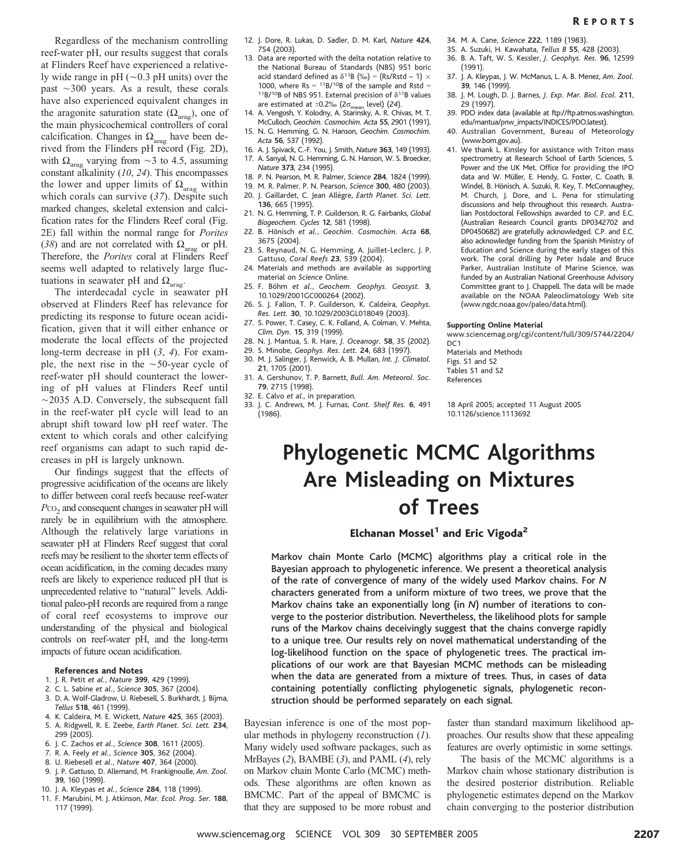Regardless of the mechanism controlling reef-water pH, our results suggest that corals at Flinders Reef have experienced a relatively wide range in pH  $(\sim 0.3$  pH units) over the past  $\sim$ 300 years. As a result, these corals have also experienced equivalent changes in the aragonite saturation state  $(\Omega_{\text{area}})$ , one of the main physicochemical controllers of coral calcification. Changes in  $\Omega_{\text{arag}}$  have been derived from the Flinders pH record (Fig. 2D), with  $\Omega_{\text{arag}}$  varying from  $\sim$ 3 to 4.5, assuming constant alkalinity (10, 24). This encompasses the lower and upper limits of  $\Omega_{\text{arag}}$  within which corals can survive (37). Despite such marked changes, skeletal extension and calcification rates for the Flinders Reef coral (Fig. 2E) fall within the normal range for Porites (38) and are not correlated with  $\Omega_{\text{area}}$  or pH. Therefore, the Porites coral at Flinders Reef seems well adapted to relatively large fluctuations in seawater pH and  $\Omega_{\text{area}}$ .

The interdecadal cycle in seawater pH observed at Flinders Reef has relevance for predicting its response to future ocean acidification, given that it will either enhance or moderate the local effects of the projected long-term decrease in pH (3, 4). For example, the next rise in the  $\sim$ 50-year cycle of reef-water pH should counteract the lowering of pH values at Flinders Reef until  $\sim$ 2035 A.D. Conversely, the subsequent fall in the reef-water pH cycle will lead to an abrupt shift toward low pH reef water. The extent to which corals and other calcifying reef organisms can adapt to such rapid decreases in pH is largely unknown.

Our findings suggest that the effects of progressive acidification of the oceans are likely to differ between coral reefs because reef-water Pco<sub>2</sub> and consequent changes in seawater pH will rarely be in equilibrium with the atmosphere. Although the relatively large variations in seawater pH at Flinders Reef suggest that coral reefs may be resilient to the shorter term effects of ocean acidification, in the coming decades many reefs are likely to experience reduced pH that is unprecedented relative to "natural" levels. Additional paleo-pH records are required from a range of coral reef ecosystems to improve our understanding of the physical and biological controls on reef-water pH, and the long-term impacts of future ocean acidification.

### References and Notes

- 1. J. R. Petit et al., Nature 399, 429 (1999).
- 2. C. L. Sabine et al., Science 305, 367 (2004).
- 3. D. A. Wolf-Gladrow, U. Riebesell, S. Burkhardt, J. Bijma, Tellus 51B, 461 (1999).
- 4. K. Caldeira, M. E. Wickett, Nature 425, 365 (2003).
- 5. A. Ridgwell, R. E. Zeebe, Earth Planet. Sci. Lett. 234, 299 (2005).
- 6. J. C. Zachos et al., Science 308, 1611 (2005).
- 7. R. A. Feely et al., Science 305, 362 (2004).
- 8. U. Riebesell et al., Nature 407, 364 (2000).
- 9. J. P. Gattuso, D. Allemand, M. Frankignoulle, Am. Zool. 39, 160 (1999).
- 10. J. A. Kleypas et al., Science 284, 118 (1999).
- 11. F. Marubini, M. J. Atkinson, Mar. Ecol. Prog. Ser. 188, 117 (1999).
- 12. J. Dore, R. Lukas, D. Sadler, D. M. Karl, Nature 424, 754 (2003).
- 13. Data are reported with the delta notation relative to the National Bureau of Standards (NBS) 951 boric acid standard defined as  $\delta^{11}B$  (‰) = (Rs/Rstd – 1) × 1000, where Rs =  $^{11}B/^{10}B$  of the sample and Rstd = <sup>11</sup>B/<sup>10</sup>B of NBS 951. External precision of  $\delta$ <sup>11</sup>B values are estimated at  $\pm 0.2\%$  (2 $\sigma_{\rm mean}$  level) (24).
- 14. A. Vengosh, Y. Kolodny, A. Starinsky, A. R. Chivas, M. T. McCulloch, Geochim. Cosmochim. Acta 55, 2901 (1991).
- 15. N. G. Hemming, G. N. Hanson, Geochim. Cosmochim. Acta 56, 537 (1992).
- 16. A. J. Spivack, C.-F. You, J. Smith, Nature 363, 149 (1993).
- 17. A. Sanyal, N. G. Hemming, G. N. Hanson, W. S. Broecker, Nature 373, 234 (1995).
- 18. P. N. Pearson, M. R. Palmer, Science 284, 1824 (1999).
- 19. M. R. Palmer, P. N. Pearson, Science 300, 480 (2003). 20. J. Gaillardet, C. Jean Allègre, Earth Planet. Sci. Lett.
- 136, 665 (1995). 21. N. G. Hemming, T. P. Guilderson, R. G. Fairbanks, Global Biogeochem. Cycles 12, 581 (1998).
- 22. B. Hönisch et al., Geochim. Cosmochim. Acta 68, 3675 (2004).
- 23. S. Reynaud, N. G. Hemming, A. Juillet-Leclerc, J. P. Gattuso, Coral Reefs 23, 539 (2004).
- 24. Materials and methods are available as supporting material on Science Online.
- 25. F. Böhm et al., Geochem. Geophys. Geosyst. 3, 10.1029/2001GC000264 (2002).
- 26. S. J. Fallon, T. P. Guilderson, K. Caldeira, Geophys. Res. Lett. 30, 10.1029/2003GL018049 (2003).
- 27. S. Power, T. Casey, C. K. Folland, A. Colman, V. Mehta, Clim. Dyn. 15, 319 (1999).
- 28. N. J. Mantua, S. R. Hare, J. Oceanogr. 58, 35 (2002).
- 29. S. Minobe, Geophys. Res. Lett. 24, 683 (1997).
- 30. M. J. Salinger, J. Renwick, A. B. Mullan, Int. J. Climatol.
- 21, 1705 (2001). 31. A. Gershunov, T. P. Barnett, Bull. Am. Meteorol. Soc. 79, 2715 (1998).
- 32. E. Calvo et al., in preparation.
- 33. J. C. Andrews, M. J. Furnas, Cont. Shelf Res. 6, 491 (1986).
- 34. M. A. Cane, Science 222, 1189 (1983).
- 35. A. Suzuki, H. Kawahata, Tellus B 55, 428 (2003). 36. B. A. Taft, W. S. Kessler, J. Geophys. Res. 96, 12599 (1991).
- 37. J. A. Kleypas, J. W. McManus, L. A. B. Menez, Am. Zool. 39, 146 (1999).
- 38. J. M. Lough, D. J. Barnes, J. Exp. Mar. Biol. Ecol. 211, 29 (1997).
- 39. PDO index data (available at ftp://ftp.atmos.washington. edu/mantua/pnw\_impacts/INDICES/PDO.latest).
- 40. Australian Government, Bureau of Meteorology (www.bom.gov.au).
- 41. We thank L. Kinsley for assistance with Triton mass spectrometry at Research School of Earth Sciences, S. Power and the UK Met. Office for providing the IPO data and W. Müller, E. Hendy, G. Foster, C. Coath, B. Windel, B. Hönisch, A. Suzuki, R. Key, T. McConnaughey, M. Church, J. Dore, and L. Pena for stimulating discussions and help throughout this research. Australian Postdoctoral Fellowships awarded to C.P. and E.C. (Australian Research Council grants DP0342702 and DP0450682) are gratefully acknowledged. C.P. and E.C. also acknowledge funding from the Spanish Ministry of Education and Science during the early stages of this work. The coral drilling by Peter Isdale and Bruce Parker, Australian Institute of Marine Science, was funded by an Australian National Greenhouse Advisory Committee grant to J. Chappell. The data will be made available on the NOAA Paleoclimatology Web site (www.ngdc.noaa.gov/paleo/data.html).

## Supporting Online Material

www.sciencemag.org/cgi/content/full/309/5744/2204/ DC<sub>1</sub>

Materials and Methods Figs. S1 and S2 Tables S1 and S2 References

18 April 2005; accepted 11 August 2005 10.1126/science.1113692

# Phylogenetic MCMC Algorithms Are Misleading on Mixtures of Trees

## Elchanan Mossel $<sup>1</sup>$  and Eric Vigoda<sup>2</sup></sup>

Markov chain Monte Carlo (MCMC) algorithms play a critical role in the Bayesian approach to phylogenetic inference. We present a theoretical analysis of the rate of convergence of many of the widely used Markov chains. For N characters generated from a uniform mixture of two trees, we prove that the Markov chains take an exponentially long (in N) number of iterations to converge to the posterior distribution. Nevertheless, the likelihood plots for sample runs of the Markov chains deceivingly suggest that the chains converge rapidly to a unique tree. Our results rely on novel mathematical understanding of the log-likelihood function on the space of phylogenetic trees. The practical implications of our work are that Bayesian MCMC methods can be misleading when the data are generated from a mixture of trees. Thus, in cases of data containing potentially conflicting phylogenetic signals, phylogenetic reconstruction should be performed separately on each signal.

Bayesian inference is one of the most popular methods in phylogeny reconstruction  $(I)$ . Many widely used software packages, such as MrBayes (2), BAMBE (3), and PAML (4), rely on Markov chain Monte Carlo (MCMC) methods. These algorithms are often known as BMCMC. Part of the appeal of BMCMC is that they are supposed to be more robust and

faster than standard maximum likelihood approaches. Our results show that these appealing features are overly optimistic in some settings.

The basis of the MCMC algorithms is a Markov chain whose stationary distribution is the desired posterior distribution. Reliable phylogenetic estimates depend on the Markov chain converging to the posterior distribution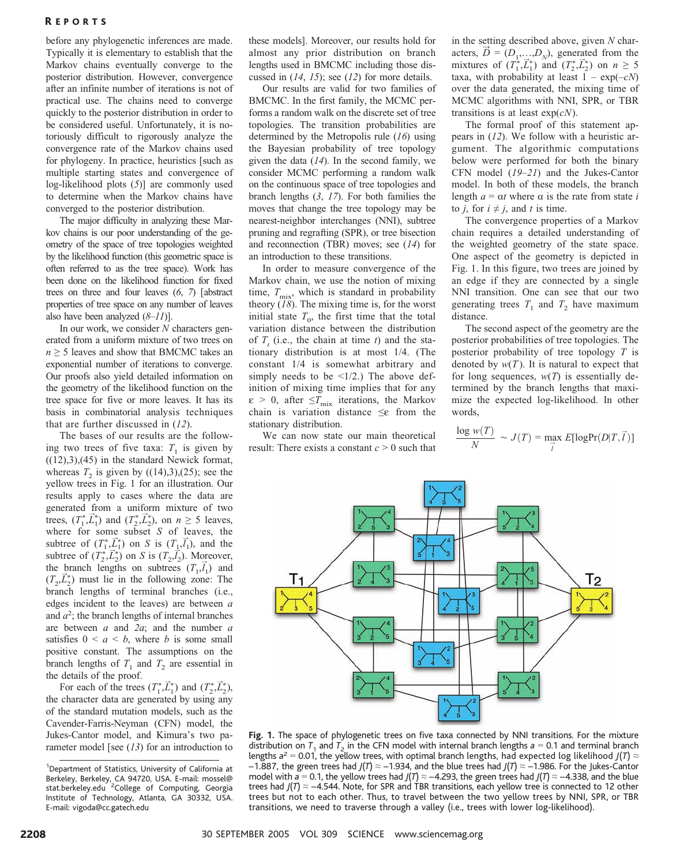## R EPORTS

before any phylogenetic inferences are made. Typically it is elementary to establish that the Markov chains eventually converge to the posterior distribution. However, convergence after an infinite number of iterations is not of practical use. The chains need to converge quickly to the posterior distribution in order to be considered useful. Unfortunately, it is notoriously difficult to rigorously analyze the convergence rate of the Markov chains used for phylogeny. In practice, heuristics [such as multiple starting states and convergence of log-likelihood plots (5)] are commonly used to determine when the Markov chains have converged to the posterior distribution.

The major difficulty in analyzing these Markov chains is our poor understanding of the geometry of the space of tree topologies weighted by the likelihood function (this geometric space is often referred to as the tree space). Work has been done on the likelihood function for fixed trees on three and four leaves  $(6, 7)$  [abstract properties of tree space on any number of leaves also have been analyzed  $(8-11)$ .

In our work, we consider  $N$  characters generated from a uniform mixture of two trees on  $n \geq 5$  leaves and show that BMCMC takes an exponential number of iterations to converge. Our proofs also yield detailed information on the geometry of the likelihood function on the tree space for five or more leaves. It has its basis in combinatorial analysis techniques that are further discussed in (12).

The bases of our results are the following two trees of five taxa:  $T_1$  is given by  $((12),3),(45)$  in the standard Newick format, whereas  $T_2$  is given by  $((14),3),(25)$ ; see the yellow trees in Fig. 1 for an illustration. Our results apply to cases where the data are generated from a uniform mixture of two trees,  $(T_1^*, \vec{L}_1^*)$  and  $(T_2^*, \vec{L}_2^*)$ , on  $n \geq 5$  leaves, where for some subset  $S$  of leaves, the subtree of  $(T_1^*, \vec{L}_1^*)$  on S is  $(T_1, \vec{l}_1)$ , and the subtree of  $(T_2^*, \vec{L}_2^*)$  on S is  $(T_2, \vec{l}_2^*)$ . Moreover, the branch lengths on subtrees  $(T_1, \vec{l}_1)$  and  $(T_2, \vec{L}_2^*)$  must lie in the following zone: The branch lengths of terminal branches (i.e., edges incident to the leaves) are between  $a$ and  $a^2$ ; the branch lengths of internal branches are between  $a$  and  $2a$ ; and the number  $a$ satisfies  $0 \le a \le b$ , where b is some small positive constant. The assumptions on the branch lengths of  $T_1$  and  $T_2$  are essential in the details of the proof.

For each of the trees  $(T_1^*, \vec{L}_1^*)$  and  $(T_2^*, \vec{L}_2^*)$ , the character data are generated by using any of the standard mutation models, such as the Cavender-Farris-Neyman (CFN) model, the Jukes-Cantor model, and Kimura's two parameter model [see  $(13)$  for an introduction to these models]. Moreover, our results hold for almost any prior distribution on branch lengths used in BMCMC including those discussed in  $(14, 15)$ ; see  $(12)$  for more details.

Our results are valid for two families of BMCMC. In the first family, the MCMC performs a random walk on the discrete set of tree topologies. The transition probabilities are determined by the Metropolis rule  $(16)$  using the Bayesian probability of tree topology given the data  $(14)$ . In the second family, we consider MCMC performing a random walk on the continuous space of tree topologies and branch lengths (3, 17). For both families the moves that change the tree topology may be nearest-neighbor interchanges (NNI), subtree pruning and regrafting (SPR), or tree bisection and reconnection (TBR) moves; see (14) for an introduction to these transitions.

In order to measure convergence of the Markov chain, we use the notion of mixing time,  $T_{\text{mix}}$ , which is standard in probability theory  $(18)$ . The mixing time is, for the worst initial state  $T_0$ , the first time that the total variation distance between the distribution of  $T<sub>i</sub>$  (i.e., the chain at time t) and the stationary distribution is at most 1/4. (The constant 1/4 is somewhat arbitrary and simply needs to be  $\leq 1/2$ .) The above definition of mixing time implies that for any  $\varepsilon > 0$ , after  $\leq T_{\text{mix}}$  iterations, the Markov chain is variation distance  $\leq \epsilon$  from the stationary distribution.

We can now state our main theoretical result: There exists a constant  $c > 0$  such that in the setting described above, given  $N$  characters,  $\vec{D} = (D_1,...,D_N)$ , generated from the mixtures of  $(T_1^*, \vec{L}_1^*)$  and  $(T_2^*, \vec{L}_2^*)$  on  $n \geq 5$ taxa, with probability at least  $1 - \exp(-cN)$ over the data generated, the mixing time of MCMC algorithms with NNI, SPR, or TBR transitions is at least  $exp(cN)$ .

The formal proof of this statement appears in (12). We follow with a heuristic argument. The algorithmic computations below were performed for both the binary CFN model (19–21) and the Jukes-Cantor model. In both of these models, the branch length  $a = \alpha t$  where  $\alpha$  is the rate from state i to *j*, for  $i \neq j$ , and t is time.

The convergence properties of a Markov chain requires a detailed understanding of the weighted geometry of the state space. One aspect of the geometry is depicted in Fig. 1. In this figure, two trees are joined by an edge if they are connected by a single NNI transition. One can see that our two generating trees  $T_1$  and  $T_2$  have maximum distance.

The second aspect of the geometry are the posterior probabilities of tree topologies. The posterior probability of tree topology  $T$  is denoted by  $w(T)$ . It is natural to expect that for long sequences,  $w(T)$  is essentially determined by the branch lengths that maximize the expected log-likelihood. In other words,

$$
\frac{\log w(T)}{N} \sim J(T) = \max_{\vec{l}} E[\log \Pr(D|T, \vec{l})]
$$



Fig. 1. The space of phylogenetic trees on five taxa connected by NNI transitions. For the mixture distribution on  $T_1$  and  $T_2$  in the CFN model with internal branch lengths  $a = 0.1$  and terminal branch lengths  $a^2 = 0.01$ , the yellow trees, with optimal branch lengths, had expected log likelihood  $J(T) \approx$  $-1.887$ , the green trees had  $J(T) \approx -1.934$ , and the blue trees had  $J(T) \approx -1.986$ . For the Jukes-Cantor model with a = 0.1, the yellow trees had  $J(T) \approx -4.293$ , the green trees had  $J(T) \approx -4.338$ , and the blue trees had  $J(T) \approx -4.544$ . Note, for SPR and TBR transitions, each yellow tree is connected to 12 other trees but not to each other. Thus, to travel between the two yellow trees by NNI, SPR, or TBR transitions, we need to traverse through a valley (i.e., trees with lower log-likelihood).

<sup>&</sup>lt;sup>1</sup>Department of Statistics, University of California at Berkeley, Berkeley, CA 94720, USA. E-mail: mossel@<br>stat.berkeley.edu <sup>2</sup>College of Computing, Georgia Institute of Technology, Atlanta, GA 30332, USA. E-mail: vigoda@cc.gatech.edu